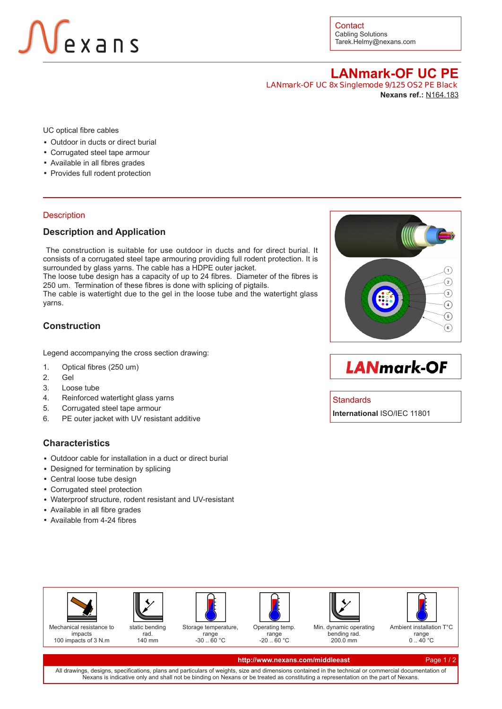# **JV**exans

**Contact** Cabling Solutions Tarek.Helmy@nexans.com

**LANmark-OF UC PE LANmark-OF UC 8x Singlemode 9/125 OS2 PE Black Nexans ref.:** [N164.183](http://www.nexans.com/eservice/DirectToProduct.nx?CZ=MiddleEast&language=en&OID=527569)

UC optical fibre cables

- Outdoor in ducts or direct burial
- Corrugated steel tape armour
- Available in all fibres grades
- Provides full rodent protection

#### **Description**

### **Description and Application**

 The construction is suitable for use outdoor in ducts and for direct burial. It consists of a corrugated steel tape armouring providing full rodent protection. It is surrounded by glass yarns. The cable has a HDPE outer jacket.

The loose tube design has a capacity of up to 24 fibres. Diameter of the fibres is 250 um. Termination of these fibres is done with splicing of pigtails.

The cable is watertight due to the gel in the loose tube and the watertight glass yarns.

## **Construction**

Legend accompanying the cross section drawing:

- 1. Optical fibres (250 um)
- 2. Gel
- 3. Loose tube
- 4. Reinforced watertight glass yarns
- 5. Corrugated steel tape armour
- 6. PE outer jacket with UV resistant additive

### **Characteristics**

- Outdoor cable for installation in a duct or direct burial
- Designed for termination by splicing
- Central loose tube design
- Corrugated steel protection
- Waterproof structure, rodent resistant and UV-resistant
- Available in all fibre grades
- Available from 4-24 fibres



**LANmark-OF** 

#### **Standards**

**International** ISO/IEC 11801





140 mm









Storage temperature, range -30 .. 60 °C

Operating temp. range -20 .. 60 °C

Min. dynamic operating bending rad. 200.0 mm

Ambient installation T°C  $0.40 \degree C$ 

#### **[http://www.nexans.com/middleeast](http://www.nexans.com/eservice/DirectToProduct.nx?CZ=MiddleEast&language=en&OID=527569)** Page 1 / 2

All drawings, designs, specifications, plans and particulars of weights, size and dimensions contained in the technical or commercial documentation of Nexans is indicative only and shall not be binding on Nexans or be treated as constituting a representation on the part of Nexans.